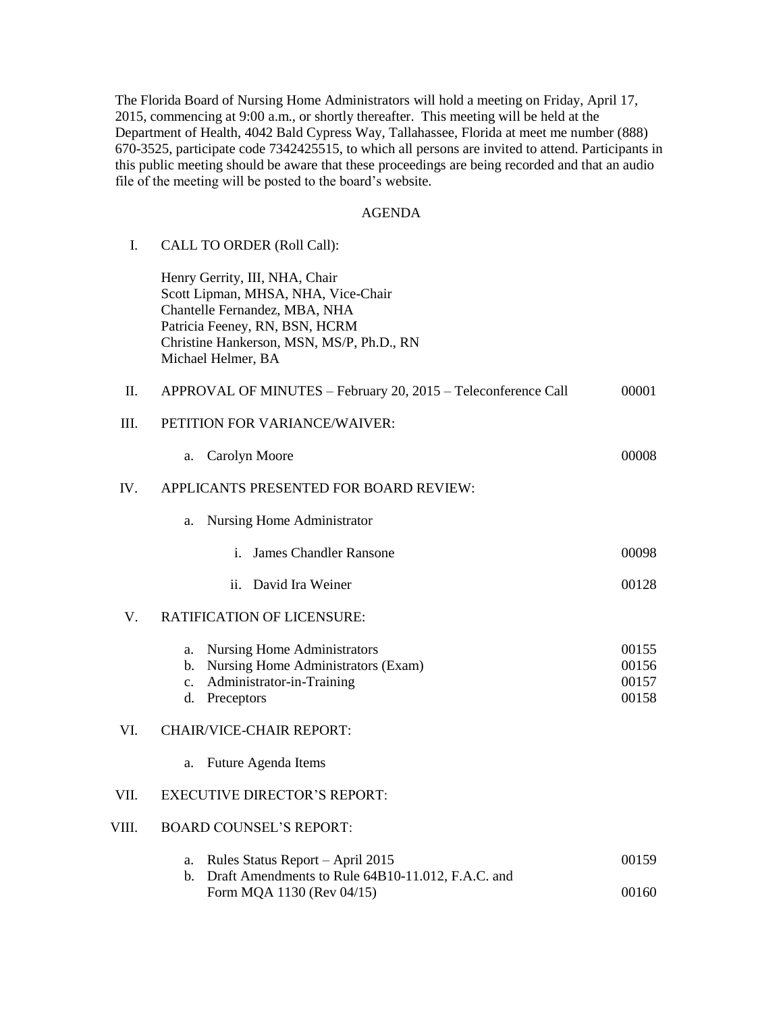The Florida Board of Nursing Home Administrators will hold a meeting on Friday, April 17, 2015, commencing at 9:00 a.m., or shortly thereafter. This meeting will be held at the Department of Health, 4042 Bald Cypress Way, Tallahassee, Florida at meet me number (888) 670-3525, participate code 7342425515, to which all persons are invited to attend. Participants in this public meeting should be aware that these proceedings are being recorded and that an audio file of the meeting will be posted to the board's website.

## AGENDA

| I.    | <b>CALL TO ORDER (Roll Call):</b>                                                                                                                                                                           |                                  |  |
|-------|-------------------------------------------------------------------------------------------------------------------------------------------------------------------------------------------------------------|----------------------------------|--|
|       | Henry Gerrity, III, NHA, Chair<br>Scott Lipman, MHSA, NHA, Vice-Chair<br>Chantelle Fernandez, MBA, NHA<br>Patricia Feeney, RN, BSN, HCRM<br>Christine Hankerson, MSN, MS/P, Ph.D., RN<br>Michael Helmer, BA |                                  |  |
| Π.    | APPROVAL OF MINUTES - February 20, 2015 - Teleconference Call                                                                                                                                               | 00001                            |  |
| Ш.    | PETITION FOR VARIANCE/WAIVER:                                                                                                                                                                               |                                  |  |
|       | Carolyn Moore<br>a.                                                                                                                                                                                         | 00008                            |  |
| IV.   | APPLICANTS PRESENTED FOR BOARD REVIEW:                                                                                                                                                                      |                                  |  |
|       | Nursing Home Administrator<br>a.                                                                                                                                                                            |                                  |  |
|       | James Chandler Ransone<br>i.                                                                                                                                                                                | 00098                            |  |
|       | David Ira Weiner<br>ii.                                                                                                                                                                                     | 00128                            |  |
| V.    | <b>RATIFICATION OF LICENSURE:</b>                                                                                                                                                                           |                                  |  |
|       | <b>Nursing Home Administrators</b><br>a.<br>Nursing Home Administrators (Exam)<br>b.<br>Administrator-in-Training<br>c.<br>d.<br>Preceptors                                                                 | 00155<br>00156<br>00157<br>00158 |  |
| VI.   | <b>CHAIR/VICE-CHAIR REPORT:</b>                                                                                                                                                                             |                                  |  |
|       | Future Agenda Items<br>a.                                                                                                                                                                                   |                                  |  |
| VII.  | <b>EXECUTIVE DIRECTOR'S REPORT:</b>                                                                                                                                                                         |                                  |  |
| VIII. | <b>BOARD COUNSEL'S REPORT:</b>                                                                                                                                                                              |                                  |  |
|       | Rules Status Report - April 2015<br>a.<br>Draft Amendments to Rule 64B10-11.012, F.A.C. and<br>b.                                                                                                           | 00159                            |  |
|       | Form MQA 1130 (Rev 04/15)                                                                                                                                                                                   | 00160                            |  |